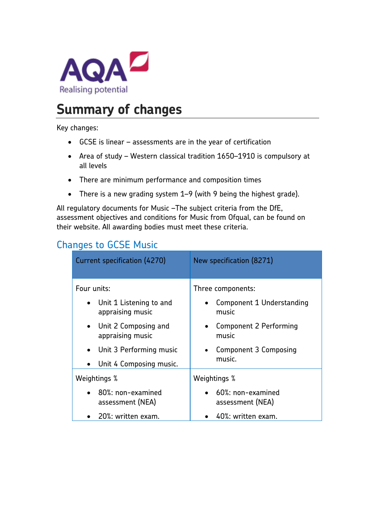

## **Summary of changes**

Key changes:

- GCSE is linear assessments are in the year of certification
- Area of study Western classical tradition 1650–1910 is compulsory at all levels
- There are minimum performance and composition times
- There is a new grading system 1–9 (with 9 being the highest grade).

All regulatory documents for Music –The subject criteria from the DfE, assessment objectives and conditions for Music from Ofqual, can be found on their website. All awarding bodies must meet these criteria.

## Changes to GCSE Music

| Current specification (4270)                             | New specification (8271)                        |
|----------------------------------------------------------|-------------------------------------------------|
| Four units:                                              | Three components:                               |
| Unit 1 Listening to and<br>$\bullet$<br>appraising music | Component 1 Understanding<br>music              |
| • Unit 2 Composing and<br>appraising music               | Component 2 Performing<br>music                 |
| • Unit 3 Performing music                                | Component 3 Composing<br>music.                 |
| Unit 4 Composing music.                                  |                                                 |
| Weightings %                                             | Weightings %                                    |
| $\bullet$ 80%; non-examined<br>assessment (NEA)          | $\bullet$ 60%; non-examined<br>assessment (NEA) |
| 20%: written exam.                                       | $\bullet$ 40%: written exam.                    |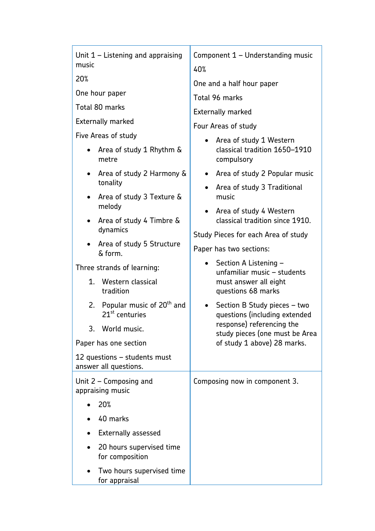| Unit $1$ – Listening and appraising<br>music                 | Component 1 - Understanding music                                          |
|--------------------------------------------------------------|----------------------------------------------------------------------------|
| 20%                                                          | 40%                                                                        |
|                                                              | One and a half hour paper                                                  |
| One hour paper                                               | Total 96 marks                                                             |
| Total 80 marks                                               | <b>Externally marked</b>                                                   |
| <b>Externally marked</b>                                     | Four Areas of study                                                        |
| Five Areas of study                                          | Area of study 1 Western                                                    |
| Area of study 1 Rhythm &<br>$\bullet$<br>metre               | classical tradition 1650-1910<br>compulsory                                |
| Area of study 2 Harmony &<br>$\bullet$                       | Area of study 2 Popular music<br>$\bullet$                                 |
| tonality<br>Area of study 3 Texture &<br>$\bullet$           | Area of study 3 Traditional<br>$\bullet$<br>music                          |
| melody                                                       | Area of study 4 Western                                                    |
| • Area of study 4 Timbre &                                   | classical tradition since 1910.                                            |
| dynamics                                                     | Study Pieces for each Area of study                                        |
| Area of study 5 Structure<br>$\bullet$<br>& form.            | Paper has two sections:                                                    |
| Three strands of learning:                                   | Section A Listening -<br>$\bullet$                                         |
| Western classical<br>1.<br>tradition                         | unfamiliar music - students<br>must answer all eight<br>questions 68 marks |
| 2. Popular music of $20th$ and<br>21 <sup>st</sup> centuries | Section B Study pieces - two<br>$\bullet$<br>questions (including extended |
| 3. World music.                                              | response) referencing the<br>study pieces (one must be Area                |
| Paper has one section                                        | of study 1 above) 28 marks.                                                |
| 12 questions - students must<br>answer all questions.        |                                                                            |
| Unit $2$ – Composing and<br>appraising music                 | Composing now in component 3.                                              |
| 20%                                                          |                                                                            |
| 40 marks                                                     |                                                                            |
| <b>Externally assessed</b>                                   |                                                                            |
| 20 hours supervised time<br>for composition                  |                                                                            |
| Two hours supervised time<br>for appraisal                   |                                                                            |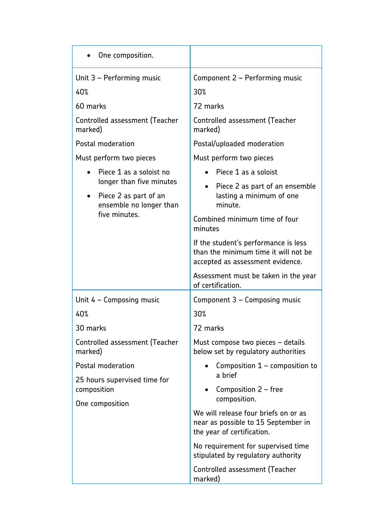| One composition.                                                                              |                                                                                                                  |
|-----------------------------------------------------------------------------------------------|------------------------------------------------------------------------------------------------------------------|
| Unit 3 - Performing music                                                                     | Component 2 - Performing music                                                                                   |
| 40%                                                                                           | 30%                                                                                                              |
| 60 marks                                                                                      | 72 marks                                                                                                         |
| Controlled assessment (Teacher<br>marked)                                                     | Controlled assessment (Teacher<br>marked)                                                                        |
| Postal moderation                                                                             | Postal/uploaded moderation                                                                                       |
| Must perform two pieces                                                                       | Must perform two pieces                                                                                          |
| Piece 1 as a soloist no                                                                       | Piece 1 as a soloist                                                                                             |
| longer than five minutes<br>Piece 2 as part of an<br>ensemble no longer than<br>five minutes. | Piece 2 as part of an ensemble<br>lasting a minimum of one<br>minute.                                            |
|                                                                                               | Combined minimum time of four<br>minutes                                                                         |
|                                                                                               | If the student's performance is less<br>than the minimum time it will not be<br>accepted as assessment evidence. |
|                                                                                               | Assessment must be taken in the year<br>of certification.                                                        |
| Unit $4 -$ Composing music                                                                    | Component 3 – Composing music                                                                                    |
| 40%                                                                                           | 30%                                                                                                              |
| 30 marks                                                                                      | 72 marks                                                                                                         |
| Controlled assessment (Teacher<br>marked)                                                     | Must compose two pieces - details<br>below set by regulatory authorities                                         |
| Postal moderation                                                                             | Composition $1$ – composition to                                                                                 |
| 25 hours supervised time for                                                                  | a brief<br>Composition 2 - free                                                                                  |
| composition<br>One composition                                                                | composition.                                                                                                     |
|                                                                                               | We will release four briefs on or as<br>near as possible to 15 September in<br>the year of certification.        |
|                                                                                               | No requirement for supervised time<br>stipulated by regulatory authority                                         |
|                                                                                               | Controlled assessment (Teacher<br>marked)                                                                        |